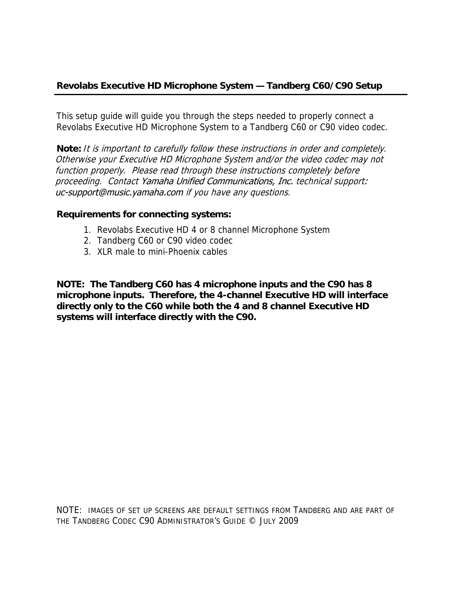This setup guide will guide you through the steps needed to properly connect a Revolabs Executive HD Microphone System to a Tandberg C60 or C90 video codec.

**Note:** It is important to carefully follow these instructions in order and completely. Otherwise your Executive HD Microphone System and/or the video codec may not function properly. Please read through these instructions completely before proceeding. Contact Yamaha Unified Communications, Inc. technical support: uc-support@music.yamaha.com if you have any questions.

## **Requirements for connecting systems:**

- 1. Revolabs Executive HD 4 or 8 channel Microphone System
- 2. Tandberg C60 or C90 video codec
- 3. XLR male to mini-Phoenix cables

**NOTE: The Tandberg C60 has 4 microphone inputs and the C90 has 8 microphone inputs. Therefore, the 4-channel Executive HD will interface directly only to the C60 while both the 4 and 8 channel Executive HD systems will interface directly with the C90.** 

NOTE: IMAGES OF SET UP SCREENS ARE DEFAULT SETTINGS FROM TANDBERG AND ARE PART OF THE TANDBERG CODEC C90 ADMINISTRATOR'S GUIDE © JULY 2009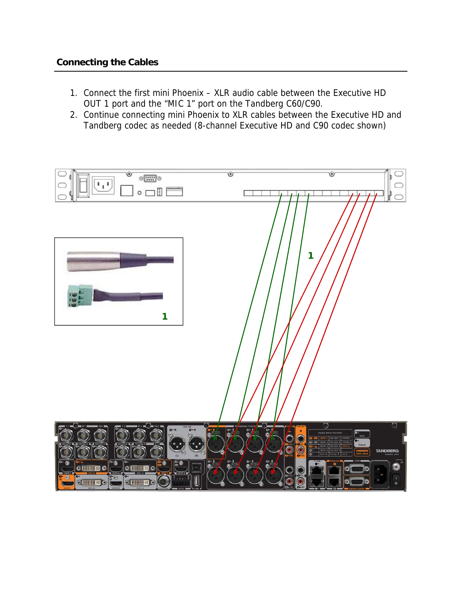## **Connecting the Cables**

- 1. Connect the first mini Phoenix XLR audio cable between the Executive HD OUT 1 port and the "MIC 1" port on the Tandberg C60/C90.
- 2. Continue connecting mini Phoenix to XLR cables between the Executive HD and Tandberg codec as needed (8-channel Executive HD and C90 codec shown)

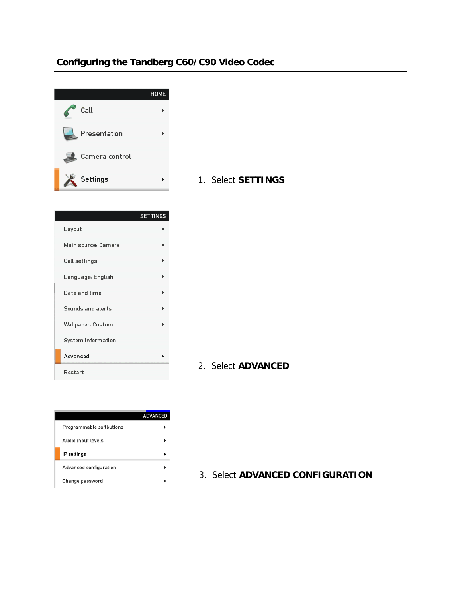## **Configuring the Tandberg C60/C90 Video Codec**



| 1. Select SETTINGS |
|--------------------|
|                    |

|                          | <b>SETTINGS</b> |
|--------------------------|-----------------|
| Layout                   |                 |
| Main source: Camera      |                 |
| Call settings            |                 |
| Language: English        |                 |
| Date and time            |                 |
| Sounds and alerts        |                 |
| <b>Wallpaper: Custom</b> |                 |
| System information       |                 |
| Advanced                 |                 |
| Restart                  |                 |

2. Select **ADVANCED**

|                          | <b>ADVANCED</b> |
|--------------------------|-----------------|
| Programmable softbuttons |                 |
| Audio input levels       |                 |
| IP settings              |                 |
| Advanced configuration   |                 |
| Change password          |                 |

3. Select **ADVANCED CONFIGURATION**